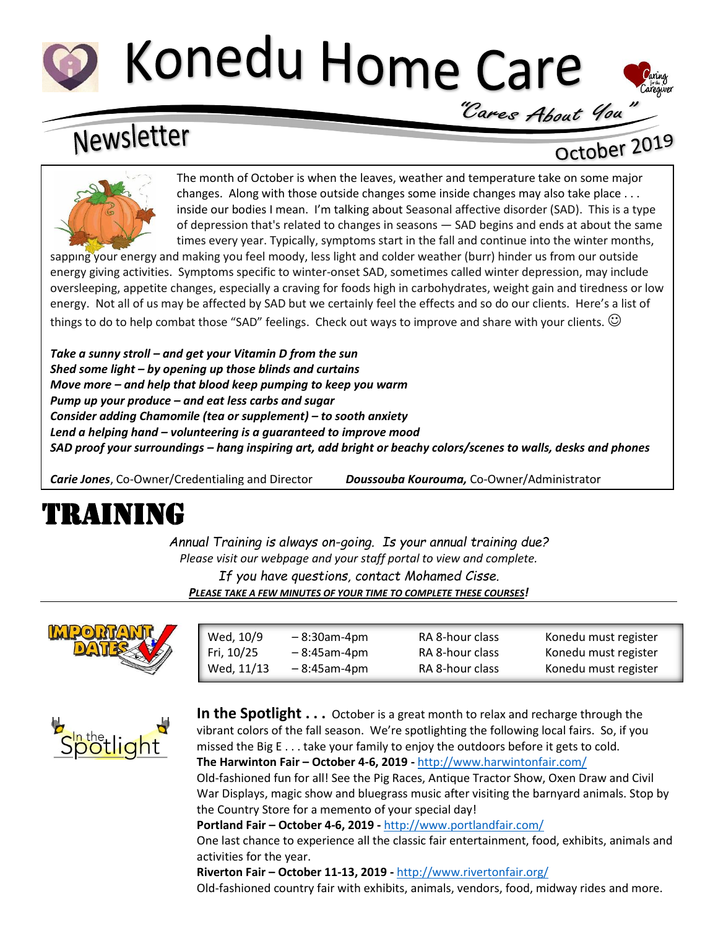# Konedu Home Care



### Newsletter

#### October 2019



The month of October is when the leaves, weather and temperature take on some major changes. Along with those outside changes some inside changes may also take place . . . inside our bodies I mean. I'm talking about Seasonal affective disorder (SAD). This is a type of depression that's related to changes in seasons — SAD begins and ends at about the same times every year. Typically, symptoms start in the fall and continue into the winter months,

sapping your energy and making you feel moody, less light and colder weather (burr) hinder us from our outside energy giving activities. Symptoms specific to winter-onset SAD, sometimes called winter depression, may include oversleeping, appetite changes, especially a craving for foods high in carbohydrates, weight gain and tiredness or low energy. Not all of us may be affected by SAD but we certainly feel the effects and so do our clients. Here's a list of things to do to help combat those "SAD" feelings. Check out ways to improve and share with your clients.  $\heartsuit$ 

*Take a sunny stroll – and get your Vitamin D from the sun Shed some light – by opening up those blinds and curtains Move more – and help that blood keep pumping to keep you warm Pump up your produce – and eat less carbs and sugar Consider adding Chamomile (tea or supplement) – to sooth anxiety Lend a helping hand – volunteering is a guaranteed to improve mood SAD proof your surroundings – hang inspiring art, add bright or beachy colors/scenes to walls, desks and phones*

*Carie Jones*, Co-Owner/Credentialing and Director *Doussouba Kourouma,* Co-Owner/Administrator

## TRAINING

*Annual Training is always on-going. Is your annual training due? Please visit our webpage and your staff portal to view and complete. If you have questions, contact Mohamed Cisse. PLEASE TAKE A FEW MINUTES OF YOUR TIME TO COMPLETE THESE COURSES!*



| Wed, 10/9  | $-8:30$ am-4pm | RA 8-hour class | Konedu must register |
|------------|----------------|-----------------|----------------------|
| Fri, 10/25 | $-8:45$ am-4pm | RA 8-hour class | Konedu must register |
| Wed, 11/13 | $-8:45$ am-4pm | RA 8-hour class | Konedu must register |
|            |                |                 |                      |



**In the Spotlight . . .** October is a great month to relax and recharge through the vibrant colors of the fall season. We're spotlighting the following local fairs. So, if you missed the Big E . . . take your family to enjoy the outdoors before it gets to cold. **The Harwinton Fair – October 4-6, 2019 -** <http://www.harwintonfair.com/>

Old-fashioned fun for all! See the Pig Races, Antique Tractor Show, Oxen Draw and Civil War Displays, magic show and bluegrass music after visiting the barnyard animals. Stop by the Country Store for a memento of your special day!

**Portland Fair – October 4-6, 2019 -** <http://www.portlandfair.com/>

One last chance to experience all the classic fair entertainment, food, exhibits, animals and activities for the year.

**Riverton Fair – October 11-13, 2019 -** <http://www.rivertonfair.org/>

Old-fashioned country fair with exhibits, animals, vendors, food, midway rides and more.